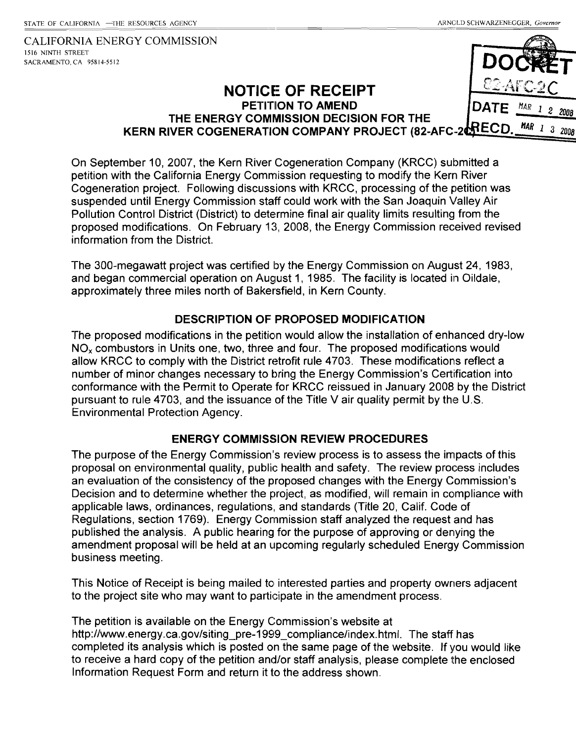CALIFORNIA ENERGY COMMISSION 1516 NINTH STREET SACRAMENTO, CA 958 14-55**12** 

### **NOTICE OF RECEIPT PETITION TO AMEND THE ENERGY COMMISSION DECISION FOR THE KERN RIVER COGENERATION COMPANY PROJECT (82-AFC-2 <b>AREC D** MAR 1 3  $200R$

On September 10, 2007, the Kern River Cogeneration Company (KRCC) submitted a petition with the California Energy Commission requesting to modify the Kern River Cogeneration project. Following discussions with KRCC, processing of the petition was suspended until Energy Commission staff could work with the San Joaquin Valley Air Pollution Control District (District) to determine final air quality limits resulting from the proposed modifications. On February 13, 2008, the Energy Commission received revised information from the District.

The 300-megawatt project was certified by the Energy Commission on August 24, 1983, and began commercial operation on August 1, 1985. The facility is located in Oildale, approximately three miles north of Bakersfield, in Kern County.

### **DESCRIPTION OF PROPOSED MODIFICATION**

The proposed modifications in the petition would allow the installation of enhanced dry-low  $NO<sub>x</sub>$  combustors in Units one, two, three and four. The proposed modifications would allow KRCC to comply with the District retrofit rule 4703. These modifications reflect a number of minor changes necessary to bring the Energy Commission's Certification into conformance with the Permit to Operate for KRCC reissued in January 2008 by the District pursuant to rule 4703, and the issuance of the Title V air quality permit by the U.S. Environmental Protection Agency.

### **ENERGY COMMISSION REVIEW PROCEDURES**

The purpose of the Energy Commission's review process is to assess the impacts of this proposal on environmental quality, public health and safety. The review process includes an evaluation of the consistency of the proposed changes with the Energy Commission's Decision and to determine whether the project, as modified, will remain in compliance with applicable laws, ordinances, regulations, and standards (Title 20, Calif. Code of Regulations, section 1769). Energy Cornmission staff analyzed the request and has published the analysis. A public hearing for the purpose of approving or denying the amendment proposal will be held at an upcoming regularly scheduled Energy Commission business meeting.

This Notice of Receipt is being mailed to interested parties and property owners adjacent to the project site who may want to participate in the amendment process.

The petition is available on the Energy Commission's website at http://www.energy.ca.gov/siting\_pre-1999\_compliance/index.html. The staff has completed its analysis which is posted on the same page of the website. If you would like to receive a hard copy of the petition and/or staff analysis, please complete the enclosed Information Request Form and return it to the address shown.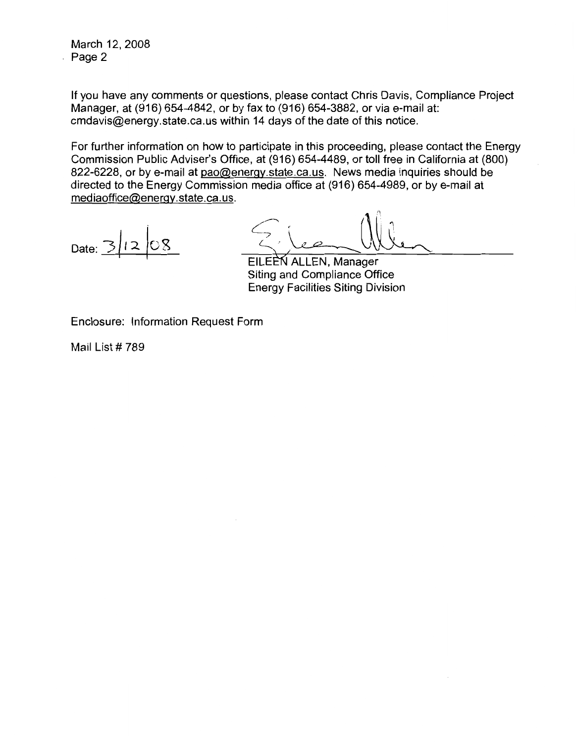March 12, 2008 Page 2

If you have any comments or questions, please contact Chris Davis, Compliance Project Manager, at (916) 654-4842, or by fax to (916) 654-3882, or via e-mail at: cmdavis@energy.state.ca.us within 14 days of the date of this notice.

For further information on how to participate in this proceeding, please contact the Energy Commission Public Adviser's Office, at (916) 654-4489, or toll free in California at (800) 822-6228, or by e-mail at pao@energy.state.ca.us. News media inquiries should be directed to the Energy Commission media office at (916) 654-4989, or by e-mail at mediaoffice@energy.state.ca.us.

Date:  $\overline{\geq}$ 

EILEEN ALLEN, Manager Siting and Compliance Office **Energy Facilities Siting Division** 

Enclosure: Information Request Form

Mail List #789